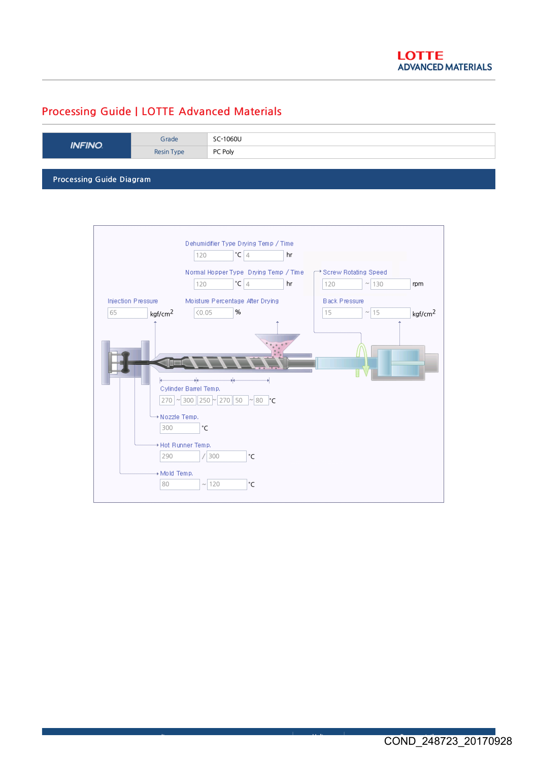## Processing Guide | LOTTE Advanced Materials

| <b>Resin Type</b><br>PC Poly | Grade<br><b>INFINO</b> |  |
|------------------------------|------------------------|--|
|                              |                        |  |
|                              |                        |  |

Processing Guide Diagram